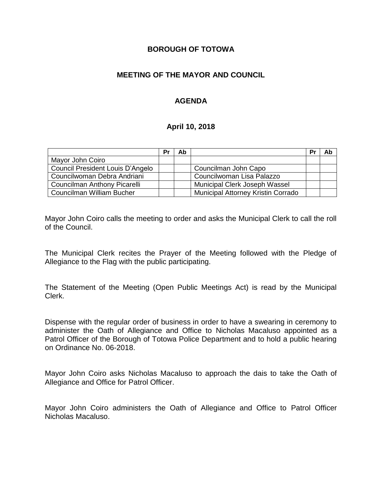### **BOROUGH OF TOTOWA**

### **MEETING OF THE MAYOR AND COUNCIL**

## **AGENDA**

### **April 10, 2018**

|                                  | Pr | Ab |                                    | Pr | Ab |
|----------------------------------|----|----|------------------------------------|----|----|
| Mayor John Coiro                 |    |    |                                    |    |    |
| Council President Louis D'Angelo |    |    | Councilman John Capo               |    |    |
| Councilwoman Debra Andriani      |    |    | Councilwoman Lisa Palazzo          |    |    |
| Councilman Anthony Picarelli     |    |    | Municipal Clerk Joseph Wassel      |    |    |
| Councilman William Bucher        |    |    | Municipal Attorney Kristin Corrado |    |    |

Mayor John Coiro calls the meeting to order and asks the Municipal Clerk to call the roll of the Council.

The Municipal Clerk recites the Prayer of the Meeting followed with the Pledge of Allegiance to the Flag with the public participating.

The Statement of the Meeting (Open Public Meetings Act) is read by the Municipal Clerk.

Dispense with the regular order of business in order to have a swearing in ceremony to administer the Oath of Allegiance and Office to Nicholas Macaluso appointed as a Patrol Officer of the Borough of Totowa Police Department and to hold a public hearing on Ordinance No. 06-2018.

Mayor John Coiro asks Nicholas Macaluso to approach the dais to take the Oath of Allegiance and Office for Patrol Officer.

Mayor John Coiro administers the Oath of Allegiance and Office to Patrol Officer Nicholas Macaluso.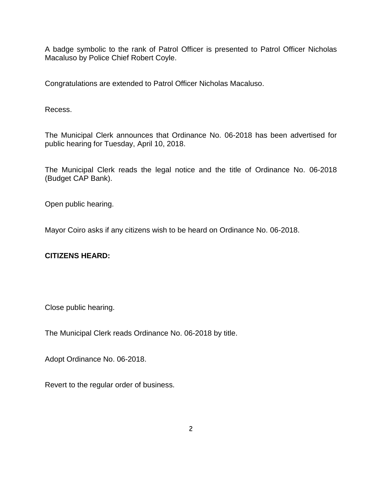A badge symbolic to the rank of Patrol Officer is presented to Patrol Officer Nicholas Macaluso by Police Chief Robert Coyle.

Congratulations are extended to Patrol Officer Nicholas Macaluso.

Recess.

The Municipal Clerk announces that Ordinance No. 06-2018 has been advertised for public hearing for Tuesday, April 10, 2018.

The Municipal Clerk reads the legal notice and the title of Ordinance No. 06-2018 (Budget CAP Bank).

Open public hearing.

Mayor Coiro asks if any citizens wish to be heard on Ordinance No. 06-2018.

## **CITIZENS HEARD:**

Close public hearing.

The Municipal Clerk reads Ordinance No. 06-2018 by title.

Adopt Ordinance No. 06-2018.

Revert to the regular order of business.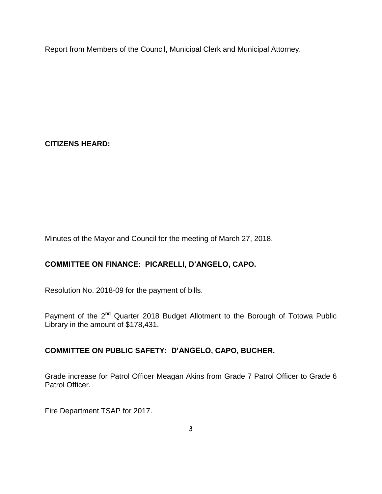Report from Members of the Council, Municipal Clerk and Municipal Attorney.

**CITIZENS HEARD:**

Minutes of the Mayor and Council for the meeting of March 27, 2018.

# **COMMITTEE ON FINANCE: PICARELLI, D'ANGELO, CAPO.**

Resolution No. 2018-09 for the payment of bills.

Payment of the 2<sup>nd</sup> Quarter 2018 Budget Allotment to the Borough of Totowa Public Library in the amount of \$178,431.

## **COMMITTEE ON PUBLIC SAFETY: D'ANGELO, CAPO, BUCHER.**

Grade increase for Patrol Officer Meagan Akins from Grade 7 Patrol Officer to Grade 6 Patrol Officer.

Fire Department TSAP for 2017.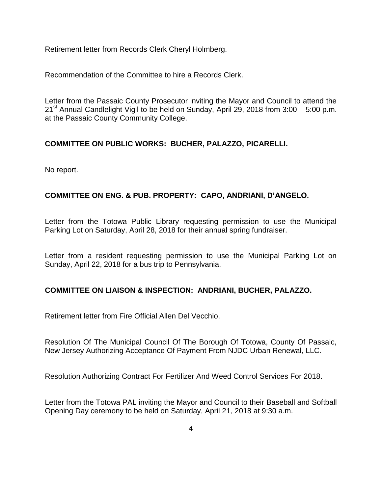Retirement letter from Records Clerk Cheryl Holmberg.

Recommendation of the Committee to hire a Records Clerk.

Letter from the Passaic County Prosecutor inviting the Mayor and Council to attend the  $21<sup>st</sup>$  Annual Candlelight Vigil to be held on Sunday, April 29, 2018 from 3:00 – 5:00 p.m. at the Passaic County Community College.

## **COMMITTEE ON PUBLIC WORKS: BUCHER, PALAZZO, PICARELLI.**

No report.

## **COMMITTEE ON ENG. & PUB. PROPERTY: CAPO, ANDRIANI, D'ANGELO.**

Letter from the Totowa Public Library requesting permission to use the Municipal Parking Lot on Saturday, April 28, 2018 for their annual spring fundraiser.

Letter from a resident requesting permission to use the Municipal Parking Lot on Sunday, April 22, 2018 for a bus trip to Pennsylvania.

### **COMMITTEE ON LIAISON & INSPECTION: ANDRIANI, BUCHER, PALAZZO.**

Retirement letter from Fire Official Allen Del Vecchio.

Resolution Of The Municipal Council Of The Borough Of Totowa, County Of Passaic, New Jersey Authorizing Acceptance Of Payment From NJDC Urban Renewal, LLC.

Resolution Authorizing Contract For Fertilizer And Weed Control Services For 2018.

Letter from the Totowa PAL inviting the Mayor and Council to their Baseball and Softball Opening Day ceremony to be held on Saturday, April 21, 2018 at 9:30 a.m.